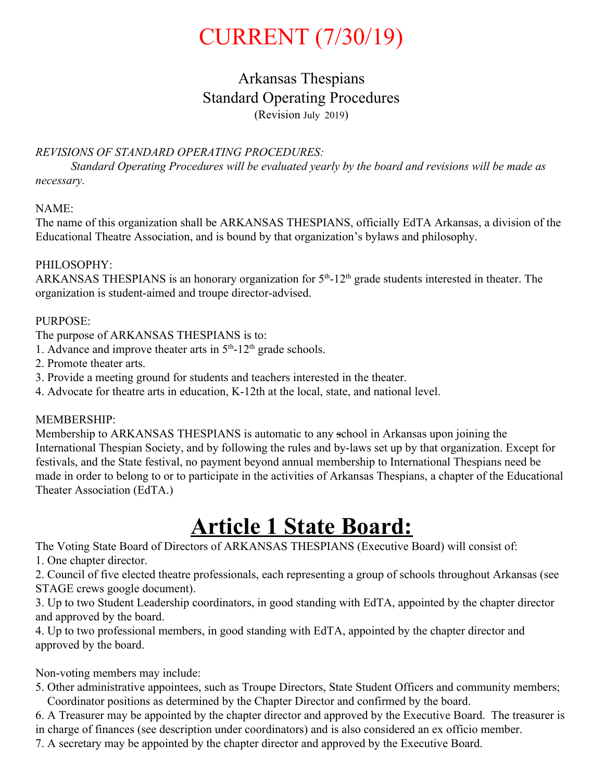# CURRENT (7/30/19)

# Arkansas Thespians Standard Operating Procedures (Revision July 2019)

## *REVISIONS OF STANDARD OPERATING PROCEDURES:*

*Standard Operating Procedures will be evaluated yearly by the board and revisions will be made as necessary.*

## NAME:

The name of this organization shall be ARKANSAS THESPIANS, officially EdTA Arkansas, a division of the Educational Theatre Association, and is bound by that organization's bylaws and philosophy.

## PHILOSOPHY:

ARKANSAS THESPIANS is an honorary organization for  $5<sup>th</sup>$ -12<sup>th</sup> grade students interested in theater. The organization is student-aimed and troupe director-advised.

## PURPOSE:

The purpose of ARKANSAS THESPIANS is to:

- 1. Advance and improve theater arts in  $5<sup>th</sup>$ -12<sup>th</sup> grade schools.
- 2. Promote theater arts.
- 3. Provide a meeting ground for students and teachers interested in the theater.
- 4. Advocate for theatre arts in education, K-12th at the local, state, and national level.

## MEMBERSHIP:

Membership to ARKANSAS THESPIANS is automatic to any school in Arkansas upon joining the International Thespian Society, and by following the rules and by-laws set up by that organization. Except for festivals, and the State festival, no payment beyond annual membership to International Thespians need be made in order to belong to or to participate in the activities of Arkansas Thespians, a chapter of the Educational Theater Association (EdTA.)

# **Article 1 State Board:**

The Voting State Board of Directors of ARKANSAS THESPIANS (Executive Board) will consist of:

1. One chapter director.

2. Council of five elected theatre professionals, each representing a group of schools throughout Arkansas (see STAGE crews google document).

3. Up to two Student Leadership coordinators, in good standing with EdTA, appointed by the chapter director and approved by the board.

4. Up to two professional members, in good standing with EdTA, appointed by the chapter director and approved by the board.

Non-voting members may include:

5. Other administrative appointees, such as Troupe Directors, State Student Officers and community members; Coordinator positions as determined by the Chapter Director and confirmed by the board.

6. A Treasurer may be appointed by the chapter director and approved by the Executive Board. The treasurer is in charge of finances (see description under coordinators) and is also considered an ex officio member.

7. A secretary may be appointed by the chapter director and approved by the Executive Board.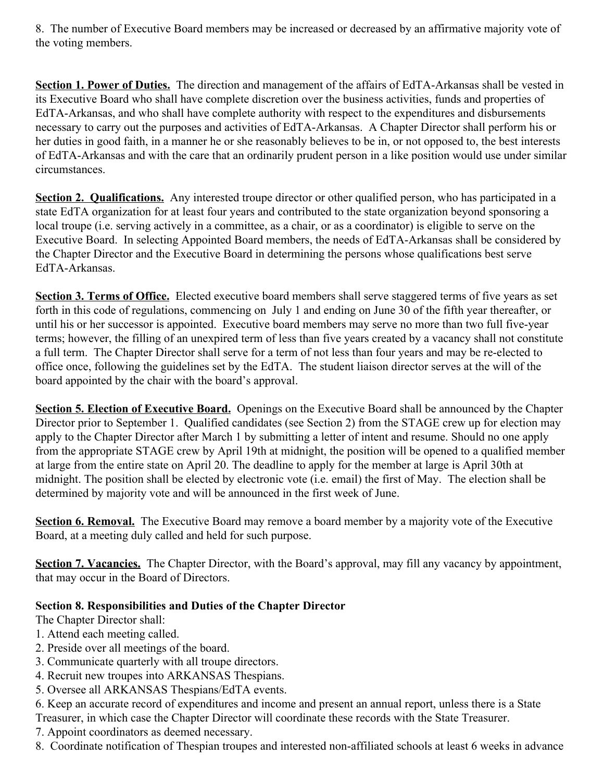8. The number of Executive Board members may be increased or decreased by an affirmative majority vote of the voting members.

**Section 1. Power of Duties.** The direction and management of the affairs of EdTA-Arkansas shall be vested in its Executive Board who shall have complete discretion over the business activities, funds and properties of EdTA-Arkansas, and who shall have complete authority with respect to the expenditures and disbursements necessary to carry out the purposes and activities of EdTA-Arkansas. A Chapter Director shall perform his or her duties in good faith, in a manner he or she reasonably believes to be in, or not opposed to, the best interests of EdTA-Arkansas and with the care that an ordinarily prudent person in a like position would use under similar circumstances.

**Section 2. Qualifications.** Any interested troupe director or other qualified person, who has participated in a state EdTA organization for at least four years and contributed to the state organization beyond sponsoring a local troupe (i.e. serving actively in a committee, as a chair, or as a coordinator) is eligible to serve on the Executive Board. In selecting Appointed Board members, the needs of EdTA-Arkansas shall be considered by the Chapter Director and the Executive Board in determining the persons whose qualifications best serve EdTA-Arkansas.

**Section 3. Terms of Office.** Elected executive board members shall serve staggered terms of five years as set forth in this code of regulations, commencing on July 1 and ending on June 30 of the fifth year thereafter, or until his or her successor is appointed. Executive board members may serve no more than two full five-year terms; however, the filling of an unexpired term of less than five years created by a vacancy shall not constitute a full term. The Chapter Director shall serve for a term of not less than four years and may be re-elected to office once, following the guidelines set by the EdTA. The student liaison director serves at the will of the board appointed by the chair with the board's approval.

**Section 5. Election of Executive Board.** Openings on the Executive Board shall be announced by the Chapter Director prior to September 1. Qualified candidates (see Section 2) from the STAGE crew up for election may apply to the Chapter Director after March 1 by submitting a letter of intent and resume. Should no one apply from the appropriate STAGE crew by April 19th at midnight, the position will be opened to a qualified member at large from the entire state on April 20. The deadline to apply for the member at large is April 30th at midnight. The position shall be elected by electronic vote (i.e. email) the first of May. The election shall be determined by majority vote and will be announced in the first week of June.

**Section 6. Removal.** The Executive Board may remove a board member by a majority vote of the Executive Board, at a meeting duly called and held for such purpose.

**Section 7. Vacancies.** The Chapter Director, with the Board's approval, may fill any vacancy by appointment, that may occur in the Board of Directors.

## **Section 8. Responsibilities and Duties of the Chapter Director**

The Chapter Director shall:

- 1. Attend each meeting called.
- 2. Preside over all meetings of the board.
- 3. Communicate quarterly with all troupe directors.
- 4. Recruit new troupes into ARKANSAS Thespians.
- 5. Oversee all ARKANSAS Thespians/EdTA events.

6. Keep an accurate record of expenditures and income and present an annual report, unless there is a State Treasurer, in which case the Chapter Director will coordinate these records with the State Treasurer.

- 7. Appoint coordinators as deemed necessary.
- 8. Coordinate notification of Thespian troupes and interested non-affiliated schools at least 6 weeks in advance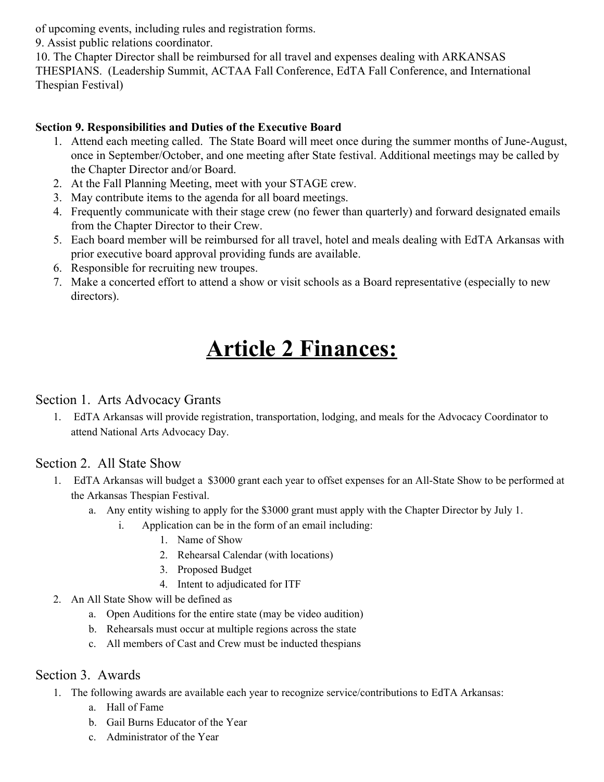of upcoming events, including rules and registration forms.

9. Assist public relations coordinator.

10. The Chapter Director shall be reimbursed for all travel and expenses dealing with ARKANSAS THESPIANS. (Leadership Summit, ACTAA Fall Conference, EdTA Fall Conference, and International Thespian Festival)

# **Section 9. Responsibilities and Duties of the Executive Board**

- 1. Attend each meeting called. The State Board will meet once during the summer months of June-August, once in September/October, and one meeting after State festival. Additional meetings may be called by the Chapter Director and/or Board.
- 2. At the Fall Planning Meeting, meet with your STAGE crew.
- 3. May contribute items to the agenda for all board meetings.
- 4. Frequently communicate with their stage crew (no fewer than quarterly) and forward designated emails from the Chapter Director to their Crew.
- 5. Each board member will be reimbursed for all travel, hotel and meals dealing with EdTA Arkansas with prior executive board approval providing funds are available.
- 6. Responsible for recruiting new troupes.
- 7. Make a concerted effort to attend a show or visit schools as a Board representative (especially to new directors).

# **Article 2 Finances:**

# Section 1. Arts Advocacy Grants

1. EdTA Arkansas will provide registration, transportation, lodging, and meals for the Advocacy Coordinator to attend National Arts Advocacy Day.

# Section 2. All State Show

- 1. EdTA Arkansas will budget a \$3000 grant each year to offset expenses for an All-State Show to be performed at the Arkansas Thespian Festival.
	- a. Any entity wishing to apply for the \$3000 grant must apply with the Chapter Director by July 1.
		- i. Application can be in the form of an email including:
			- 1. Name of Show
			- 2. Rehearsal Calendar (with locations)
			- 3. Proposed Budget
			- 4. Intent to adjudicated for ITF
- 2. An All State Show will be defined as
	- a. Open Auditions for the entire state (may be video audition)
	- b. Rehearsals must occur at multiple regions across the state
	- c. All members of Cast and Crew must be inducted thespians

# Section 3. Awards

- 1. The following awards are available each year to recognize service/contributions to EdTA Arkansas:
	- a. Hall of Fame
	- b. Gail Burns Educator of the Year
	- c. Administrator of the Year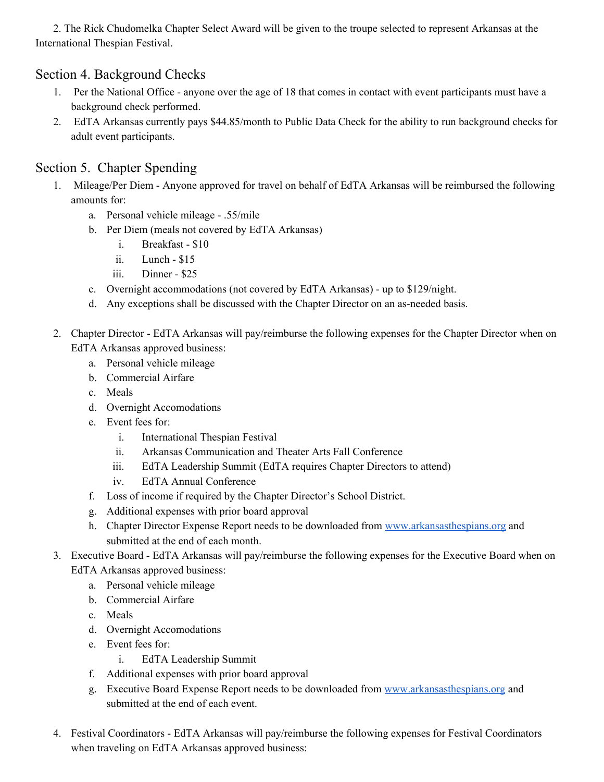2. The Rick Chudomelka Chapter Select Award will be given to the troupe selected to represent Arkansas at the International Thespian Festival.

# Section 4. Background Checks

- 1. Per the National Office anyone over the age of 18 that comes in contact with event participants must have a background check performed.
- 2. EdTA Arkansas currently pays \$44.85/month to Public Data Check for the ability to run background checks for adult event participants.

# Section 5. Chapter Spending

- 1. Mileage/Per Diem Anyone approved for travel on behalf of EdTA Arkansas will be reimbursed the following amounts for:
	- a. Personal vehicle mileage .55/mile
	- b. Per Diem (meals not covered by EdTA Arkansas)
		- i. Breakfast \$10
		- ii. Lunch \$15
		- iii. Dinner \$25
	- c. Overnight accommodations (not covered by EdTA Arkansas) up to \$129/night.
	- d. Any exceptions shall be discussed with the Chapter Director on an as-needed basis.
- 2. Chapter Director EdTA Arkansas will pay/reimburse the following expenses for the Chapter Director when on EdTA Arkansas approved business:
	- a. Personal vehicle mileage
	- b. Commercial Airfare
	- c. Meals
	- d. Overnight Accomodations
	- e. Event fees for:
		- i. International Thespian Festival
		- ii. Arkansas Communication and Theater Arts Fall Conference
		- iii. EdTA Leadership Summit (EdTA requires Chapter Directors to attend)
		- iv. EdTA Annual Conference
	- f. Loss of income if required by the Chapter Director's School District.
	- g. Additional expenses with prior board approval
	- h. Chapter Director Expense Report needs to be downloaded from [www.arkansasthespians.org](http://www.arkansasthespians.org/) and submitted at the end of each month.
- 3. Executive Board EdTA Arkansas will pay/reimburse the following expenses for the Executive Board when on EdTA Arkansas approved business:
	- a. Personal vehicle mileage
	- b. Commercial Airfare
	- c. Meals
	- d. Overnight Accomodations
	- e. Event fees for:
		- i. EdTA Leadership Summit
	- f. Additional expenses with prior board approval
	- g. Executive Board Expense Report needs to be downloaded from [www.arkansasthespians.org](http://www.arkansasthespians.org/) and submitted at the end of each event.
- 4. Festival Coordinators EdTA Arkansas will pay/reimburse the following expenses for Festival Coordinators when traveling on EdTA Arkansas approved business: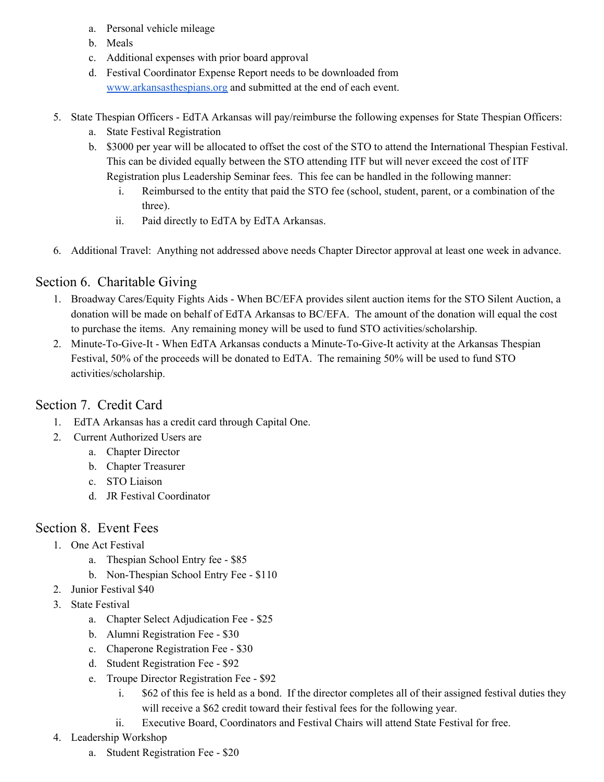- a. Personal vehicle mileage
- b. Meals
- c. Additional expenses with prior board approval
- d. Festival Coordinator Expense Report needs to be downloaded from [www.arkansasthespians.org](http://www.arkansasthespians.org/) and submitted at the end of each event.
- 5. State Thespian Officers EdTA Arkansas will pay/reimburse the following expenses for State Thespian Officers:
	- a. State Festival Registration
	- b. \$3000 per year will be allocated to offset the cost of the STO to attend the International Thespian Festival. This can be divided equally between the STO attending ITF but will never exceed the cost of ITF Registration plus Leadership Seminar fees. This fee can be handled in the following manner:
		- i. Reimbursed to the entity that paid the STO fee (school, student, parent, or a combination of the three).
		- ii. Paid directly to EdTA by EdTA Arkansas.
- 6. Additional Travel: Anything not addressed above needs Chapter Director approval at least one week in advance.

# Section 6. Charitable Giving

- 1. Broadway Cares/Equity Fights Aids When BC/EFA provides silent auction items for the STO Silent Auction, a donation will be made on behalf of EdTA Arkansas to BC/EFA. The amount of the donation will equal the cost to purchase the items. Any remaining money will be used to fund STO activities/scholarship.
- 2. Minute-To-Give-It When EdTA Arkansas conducts a Minute-To-Give-It activity at the Arkansas Thespian Festival, 50% of the proceeds will be donated to EdTA. The remaining 50% will be used to fund STO activities/scholarship.

# Section 7. Credit Card

- 1. EdTA Arkansas has a credit card through Capital One.
- 2. Current Authorized Users are
	- a. Chapter Director
	- b. Chapter Treasurer
	- c. STO Liaison
	- d. JR Festival Coordinator

# Section 8. Event Fees

- 1. One Act Festival
	- a. Thespian School Entry fee \$85
	- b. Non-Thespian School Entry Fee \$110
- 2. Junior Festival \$40
- 3. State Festival
	- a. Chapter Select Adjudication Fee \$25
	- b. Alumni Registration Fee \$30
	- c. Chaperone Registration Fee \$30
	- d. Student Registration Fee \$92
	- e. Troupe Director Registration Fee \$92
		- i. \$62 of this fee is held as a bond. If the director completes all of their assigned festival duties they will receive a \$62 credit toward their festival fees for the following year.
		- ii. Executive Board, Coordinators and Festival Chairs will attend State Festival for free.
- 4. Leadership Workshop
	- a. Student Registration Fee \$20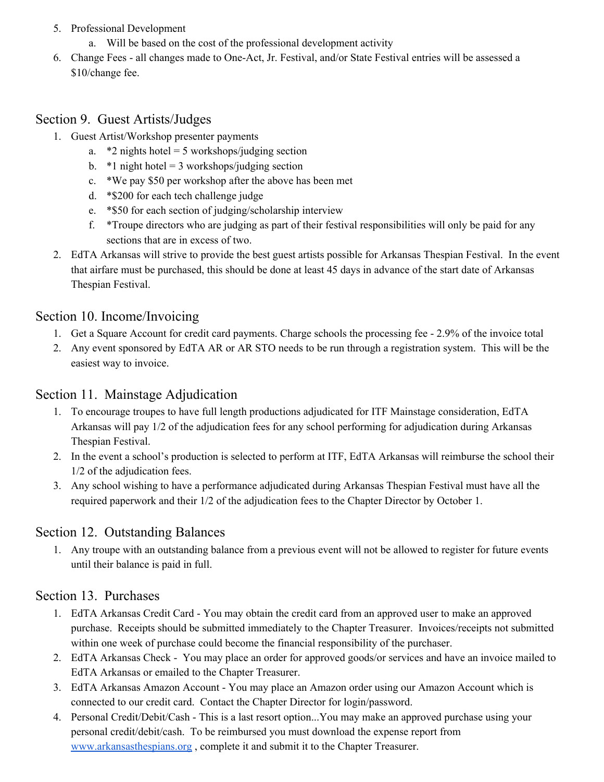- 5. Professional Development
	- a. Will be based on the cost of the professional development activity
- 6. Change Fees all changes made to One-Act, Jr. Festival, and/or State Festival entries will be assessed a \$10/change fee.

# Section 9. Guest Artists/Judges

- 1. Guest Artist/Workshop presenter payments
	- a.  $*2$  nights hotel = 5 workshops/judging section
	- b.  $*1$  night hotel = 3 workshops/judging section
	- c. \*We pay \$50 per workshop after the above has been met
	- d. \*\$200 for each tech challenge judge
	- e. \*\$50 for each section of judging/scholarship interview
	- f. \*Troupe directors who are judging as part of their festival responsibilities will only be paid for any sections that are in excess of two.
- 2. EdTA Arkansas will strive to provide the best guest artists possible for Arkansas Thespian Festival. In the event that airfare must be purchased, this should be done at least 45 days in advance of the start date of Arkansas Thespian Festival.

# Section 10. Income/Invoicing

- 1. Get a Square Account for credit card payments. Charge schools the processing fee 2.9% of the invoice total
- 2. Any event sponsored by EdTA AR or AR STO needs to be run through a registration system. This will be the easiest way to invoice.

# Section 11. Mainstage Adjudication

- 1. To encourage troupes to have full length productions adjudicated for ITF Mainstage consideration, EdTA Arkansas will pay 1/2 of the adjudication fees for any school performing for adjudication during Arkansas Thespian Festival.
- 2. In the event a school's production is selected to perform at ITF, EdTA Arkansas will reimburse the school their 1/2 of the adjudication fees.
- 3. Any school wishing to have a performance adjudicated during Arkansas Thespian Festival must have all the required paperwork and their 1/2 of the adjudication fees to the Chapter Director by October 1.

# Section 12. Outstanding Balances

1. Any troupe with an outstanding balance from a previous event will not be allowed to register for future events until their balance is paid in full.

# Section 13. Purchases

- 1. EdTA Arkansas Credit Card You may obtain the credit card from an approved user to make an approved purchase. Receipts should be submitted immediately to the Chapter Treasurer. Invoices/receipts not submitted within one week of purchase could become the financial responsibility of the purchaser.
- 2. EdTA Arkansas Check You may place an order for approved goods/or services and have an invoice mailed to EdTA Arkansas or emailed to the Chapter Treasurer.
- 3. EdTA Arkansas Amazon Account You may place an Amazon order using our Amazon Account which is connected to our credit card. Contact the Chapter Director for login/password.
- 4. Personal Credit/Debit/Cash This is a last resort option...You may make an approved purchase using your personal credit/debit/cash. To be reimbursed you must download the expense report from [www.arkansasthespians.org](http://www.arkansasthespians.org/) , complete it and submit it to the Chapter Treasurer.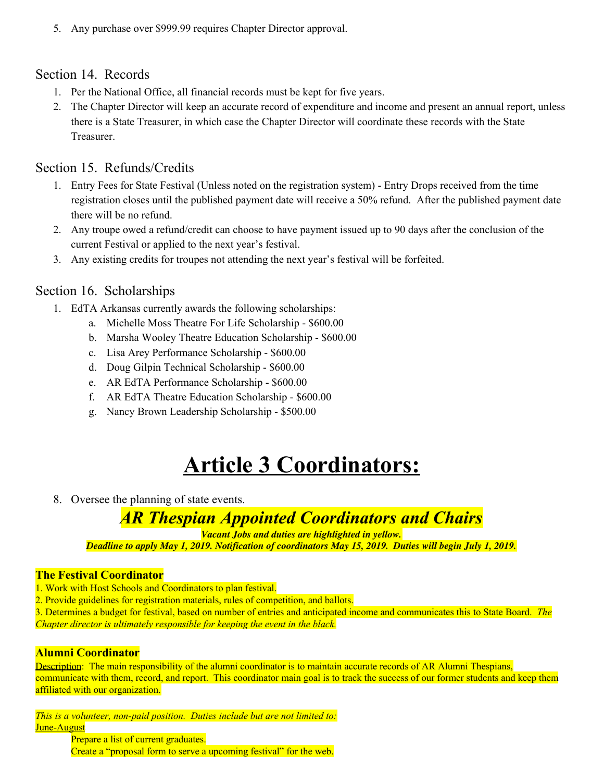5. Any purchase over \$999.99 requires Chapter Director approval.

## Section 14. Records

- 1. Per the National Office, all financial records must be kept for five years.
- 2. The Chapter Director will keep an accurate record of expenditure and income and present an annual report, unless there is a State Treasurer, in which case the Chapter Director will coordinate these records with the State **Treasurer**

# Section 15. Refunds/Credits

- 1. Entry Fees for State Festival (Unless noted on the registration system) Entry Drops received from the time registration closes until the published payment date will receive a 50% refund. After the published payment date there will be no refund.
- 2. Any troupe owed a refund/credit can choose to have payment issued up to 90 days after the conclusion of the current Festival or applied to the next year's festival.
- 3. Any existing credits for troupes not attending the next year's festival will be forfeited.

## Section 16. Scholarships

- 1. EdTA Arkansas currently awards the following scholarships:
	- a. Michelle Moss Theatre For Life Scholarship \$600.00
	- b. Marsha Wooley Theatre Education Scholarship \$600.00
	- c. Lisa Arey Performance Scholarship \$600.00
	- d. Doug Gilpin Technical Scholarship \$600.00
	- e. AR EdTA Performance Scholarship \$600.00
	- f. AR EdTA Theatre Education Scholarship \$600.00
	- g. Nancy Brown Leadership Scholarship \$500.00

# **Article 3 Coordinators:**

8. Oversee the planning of state events.

# *AR Thespian Appointed Coordinators and Chairs*

*Vacant Jobs and duties are highlighted in yellow.*

Deadline to apply May 1, 2019. Notification of coordinators May 15, 2019. Duties will begin July 1, 2019.

#### **The Festival Coordinator**

- 1. Work with Host Schools and Coordinators to plan festival.
- 2. Provide guidelines for registration materials, rules of competition, and ballots.
- 3. Determines a budget for festival, based on number of entries and anticipated income and communicates this to State Board. *The Chapter director is ultimately responsible for keeping the event in the black.*

#### **Alumni Coordinator**

Description: The main responsibility of the alumni coordinator is to maintain accurate records of AR Alumni Thespians, communicate with them, record, and report. This coordinator main goal is to track the success of our former students and keep them affiliated with our organization.

*This is a volunteer, non-paid position. Duties include but are not limited to:* June-August

Prepare a list of current graduates. Create a "proposal form to serve a upcoming festival" for the web.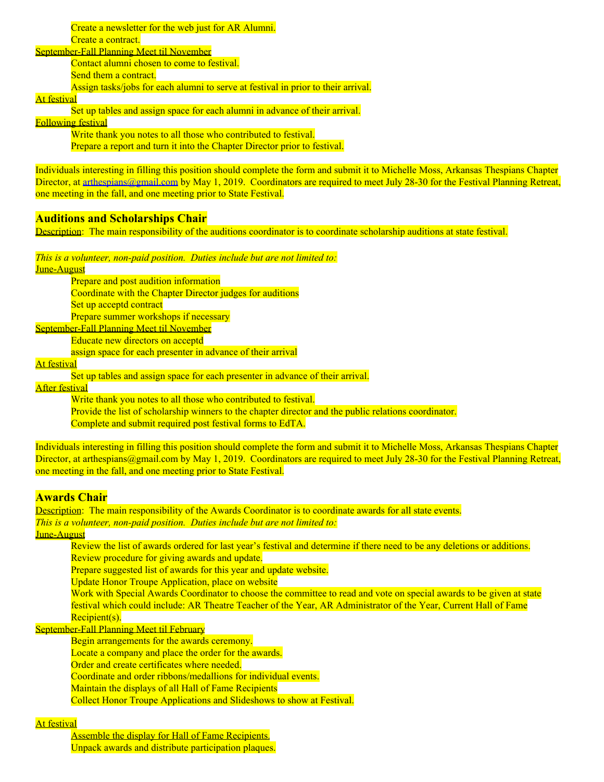Create a newsletter for the web just for AR Alumni. Create a contract.

September-Fall Planning Meet til November

Contact alumni chosen to come to festival.

Send them a contract.

Assign tasks/jobs for each alumni to serve at festival in prior to their arrival.

At festival

Set up tables and assign space for each alumni in advance of their arrival.

Following festival

Write thank you notes to all those who contributed to festival. Prepare a report and turn it into the Chapter Director prior to festival.

Individuals interesting in filling this position should complete the form and submit it to Michelle Moss, Arkansas Thespians Chapter Director, at [arthespians@gmail.com](mailto:arthespians@gmail.com) by May 1, 2019. Coordinators are required to meet July 28-30 for the Festival Planning Retreat, one meeting in the fall, and one meeting prior to State Festival.

## **Auditions and Scholarships Chair**

Description: The main responsibility of the auditions coordinator is to coordinate scholarship auditions at state festival.

*This is a volunteer, non-paid position. Duties include but are not limited to:*

June-August

Prepare and post audition information

Coordinate with the Chapter Director judges for auditions

Set up acceptd contract

Prepare summer workshops if necessary

September-Fall Planning Meet til November

Educate new directors on acceptd

assign space for each presenter in advance of their arrival

At festival

Set up tables and assign space for each presenter in advance of their arrival.

After festival

Write thank you notes to all those who contributed to festival.

Provide the list of scholarship winners to the chapter director and the public relations coordinator.

Complete and submit required post festival forms to EdTA.

Individuals interesting in filling this position should complete the form and submit it to Michelle Moss, Arkansas Thespians Chapter Director, at arthespians@gmail.com by May 1, 2019. Coordinators are required to meet July 28-30 for the Festival Planning Retreat, one meeting in the fall, and one meeting prior to State Festival.

## **Awards Chair**

Description: The main responsibility of the Awards Coordinator is to coordinate awards for all state events. *This is a volunteer, non-paid position. Duties include but are not limited to:*

June-August

Review the list of awards ordered for last year's festival and determine if there need to be any deletions or additions. Review procedure for giving awards and update.

Prepare suggested list of awards for this year and update website.

Update Honor Troupe Application, place on website

Work with Special Awards Coordinator to choose the committee to read and vote on special awards to be given at state festival which could include: AR Theatre Teacher of the Year, AR Administrator of the Year, Current Hall of Fame Recipient(s).

September-Fall Planning Meet til February

Begin arrangements for the awards ceremony.

Locate a company and place the order for the awards.

Order and create certificates where needed.

Coordinate and order ribbons/medallions for individual events.

Maintain the displays of all Hall of Fame Recipients

Collect Honor Troupe Applications and Slideshows to show at Festival.

#### At festival

Assemble the display for Hall of Fame Recipients. Unpack awards and distribute participation plaques.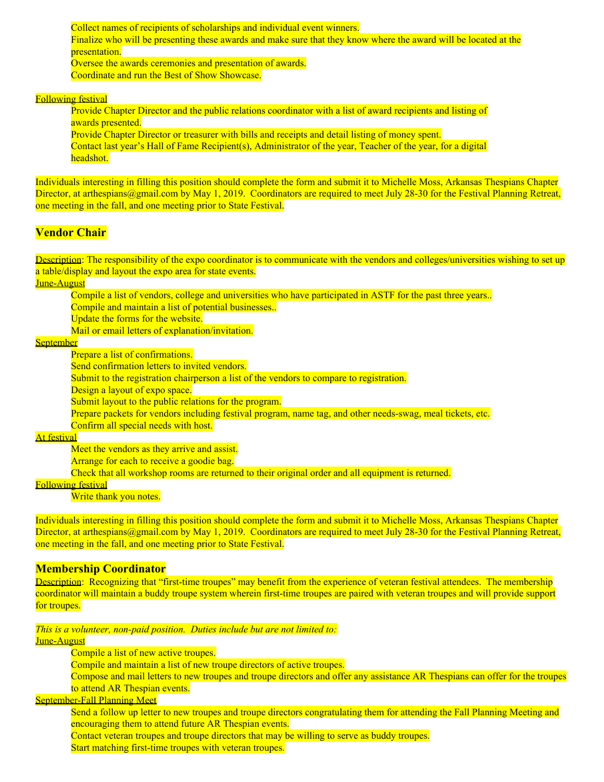Collect names of recipients of scholarships and individual event winners. Finalize who will be presenting these awards and make sure that they know where the award will be located at the presentation. Oversee the awards ceremonies and presentation of awards. Coordinate and run the Best of Show Showcase.

#### Following festival

Provide Chapter Director and the public relations coordinator with a list of award recipients and listing of awards presented.

Provide Chapter Director or treasurer with bills and receipts and detail listing of money spent. Contact last year's Hall of Fame Recipient(s), Administrator of the year, Teacher of the year, for a digital headshot.

Individuals interesting in filling this position should complete the form and submit it to Michelle Moss, Arkansas Thespians Chapter Director, at arthespians@gmail.com by May 1, 2019. Coordinators are required to meet July 28-30 for the Festival Planning Retreat, one meeting in the fall, and one meeting prior to State Festival.

#### **Vendor Chair**

Description: The responsibility of the expo coordinator is to communicate with the vendors and colleges/universities wishing to set up a table/display and layout the expo area for state events.

June-August

Compile a list of vendors, college and universities who have participated in ASTF for the past three years..

Compile and maintain a list of potential businesses..

Update the forms for the website.

Mail or email letters of explanation/invitation.

**September** 

Prepare a list of confirmations.

Send confirmation letters to invited vendors.

Submit to the registration chairperson a list of the vendors to compare to registration.

Design a layout of expo space.

Submit layout to the public relations for the program.

Prepare packets for vendors including festival program, name tag, and other needs-swag, meal tickets, etc.

Confirm all special needs with host.

At festival

Meet the vendors as they arrive and assist.

Arrange for each to receive a goodie bag.

Check that all workshop rooms are returned to their original order and all equipment is returned.

## Following festival

Write thank you notes.

Individuals interesting in filling this position should complete the form and submit it to Michelle Moss, Arkansas Thespians Chapter Director, at arthespians@gmail.com by May 1, 2019. Coordinators are required to meet July 28-30 for the Festival Planning Retreat, one meeting in the fall, and one meeting prior to State Festival.

#### **Membership Coordinator**

Description: Recognizing that "first-time troupes" may benefit from the experience of veteran festival attendees. The membership coordinator will maintain a buddy troupe system wherein first-time troupes are paired with veteran troupes and will provide support for troupes.

*This is a volunteer, non-paid position. Duties include but are not limited to:* June-August

Compile a list of new active troupes.

Compile and maintain a list of new troupe directors of active troupes.

Compose and mail letters to new troupes and troupe directors and offer any assistance AR Thespians can offer for the troupes to attend AR Thespian events.

### September-Fall Planning Meet

Send a follow up letter to new troupes and troupe directors congratulating them for attending the Fall Planning Meeting and encouraging them to attend future AR Thespian events.

Contact veteran troupes and troupe directors that may be willing to serve as buddy troupes. Start matching first-time troupes with veteran troupes.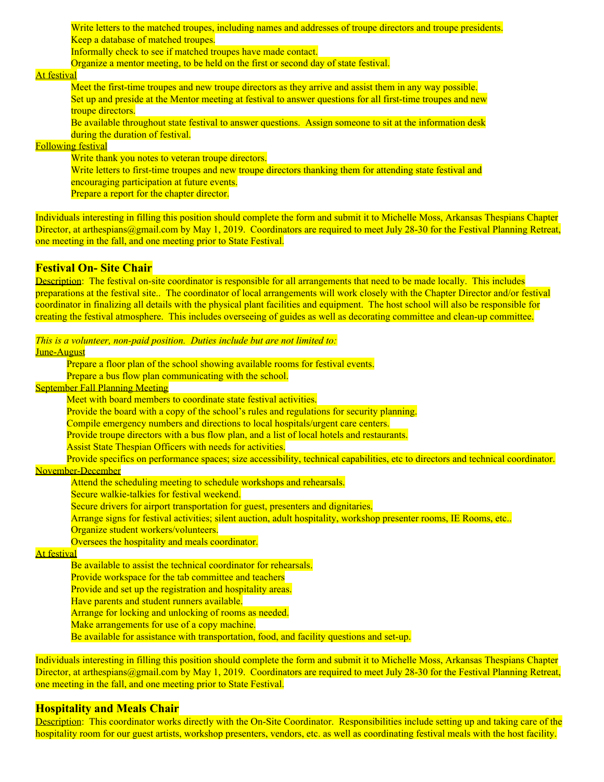Write letters to the matched troupes, including names and addresses of troupe directors and troupe presidents. Keep a database of matched troupes.

Informally check to see if matched troupes have made contact.

Organize a mentor meeting, to be held on the first or second day of state festival.

#### At festival

Meet the first-time troupes and new troupe directors as they arrive and assist them in any way possible. Set up and preside at the Mentor meeting at festival to answer questions for all first-time troupes and new troupe directors.

Be available throughout state festival to answer questions. Assign someone to sit at the information desk during the duration of festival.

### Following festival

Write thank you notes to veteran troupe directors.

Write letters to first-time troupes and new troupe directors thanking them for attending state festival and

encouraging participation at future events.

Prepare a report for the chapter director.

Individuals interesting in filling this position should complete the form and submit it to Michelle Moss, Arkansas Thespians Chapter Director, at arthespians@gmail.com by May 1, 2019. Coordinators are required to meet July 28-30 for the Festival Planning Retreat, one meeting in the fall, and one meeting prior to State Festival.

#### **Festival On- Site Chair**

Description: The festival on-site coordinator is responsible for all arrangements that need to be made locally. This includes preparations at the festival site.. The coordinator of local arrangements will work closely with the Chapter Director and/or festival coordinator in finalizing all details with the physical plant facilities and equipment. The host school will also be responsible for creating the festival atmosphere. This includes overseeing of guides as well as decorating committee and clean-up committee.

*This is a volunteer, non-paid position. Duties include but are not limited to:*

#### June-August

Prepare a floor plan of the school showing available rooms for festival events.

Prepare a bus flow plan communicating with the school.

#### September Fall Planning Meeting

Meet with board members to coordinate state festival activities.

Provide the board with a copy of the school's rules and regulations for security planning.

Compile emergency numbers and directions to local hospitals/urgent care centers.

Provide troupe directors with a bus flow plan, and a list of local hotels and restaurants.

Assist State Thespian Officers with needs for activities.

Provide specifics on performance spaces; size accessibility, technical capabilities, etc to directors and technical coordinator.

#### November-December

Attend the scheduling meeting to schedule workshops and rehearsals.

Secure walkie-talkies for festival weekend.

Secure drivers for airport transportation for guest, presenters and dignitaries.

Arrange signs for festival activities; silent auction, adult hospitality, workshop presenter rooms, IE Rooms, etc..

Organize student workers/volunteers.

Oversees the hospitality and meals coordinator.

#### At festival

Be available to assist the technical coordinator for rehearsals.

Provide workspace for the tab committee and teachers

Provide and set up the registration and hospitality areas.

Have parents and student runners available.

Arrange for locking and unlocking of rooms as needed.

Make arrangements for use of a copy machine.

Be available for assistance with transportation, food, and facility questions and set-up.

Individuals interesting in filling this position should complete the form and submit it to Michelle Moss, Arkansas Thespians Chapter Director, at arthespians@gmail.com by May 1, 2019. Coordinators are required to meet July 28-30 for the Festival Planning Retreat, one meeting in the fall, and one meeting prior to State Festival.

### **Hospitality and Meals Chair**

Description: This coordinator works directly with the On-Site Coordinator. Responsibilities include setting up and taking care of the hospitality room for our guest artists, workshop presenters, vendors, etc. as well as coordinating festival meals with the host facility.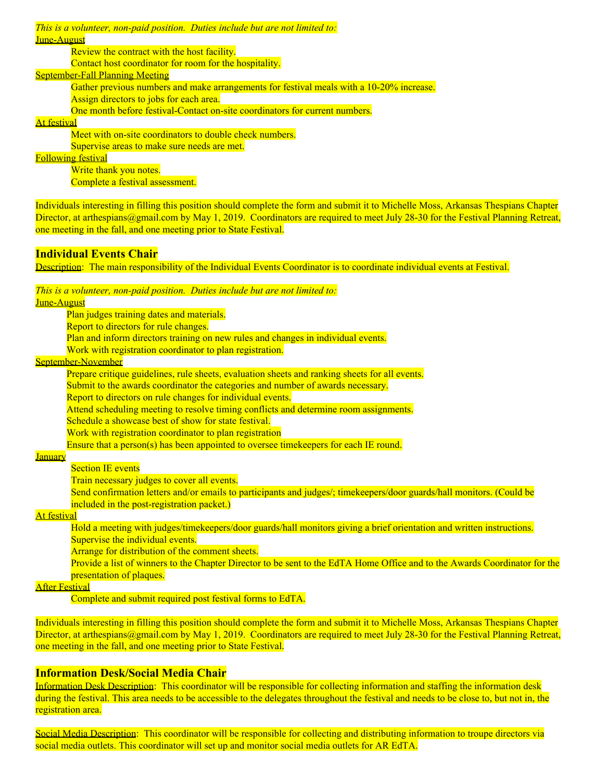*This is a volunteer, non-paid position. Duties include but are not limited to:* June-August

Review the contract with the host facility.

Contact host coordinator for room for the hospitality.

#### September-Fall Planning Meeting

Gather previous numbers and make arrangements for festival meals with a 10-20% increase.

Assign directors to jobs for each area.

One month before festival-Contact on-site coordinators for current numbers.

#### At festival

Meet with on-site coordinators to double check numbers.

Supervise areas to make sure needs are met.

Following festival

Write thank you notes. Complete a festival assessment.

Individuals interesting in filling this position should complete the form and submit it to Michelle Moss, Arkansas Thespians Chapter Director, at arthespians@gmail.com by May 1, 2019. Coordinators are required to meet July 28-30 for the Festival Planning Retreat, one meeting in the fall, and one meeting prior to State Festival.

## **Individual Events Chair**

Description: The main responsibility of the Individual Events Coordinator is to coordinate individual events at Festival.

#### *This is a volunteer, non-paid position. Duties include but are not limited to:*

June-August

Plan judges training dates and materials.

Report to directors for rule changes.

Plan and inform directors training on new rules and changes in individual events.

Work with registration coordinator to plan registration.

September-November

Prepare critique guidelines, rule sheets, evaluation sheets and ranking sheets for all events.

Submit to the awards coordinator the categories and number of awards necessary.

Report to directors on rule changes for individual events.

Attend scheduling meeting to resolve timing conflicts and determine room assignments.

Schedule a showcase best of show for state festival.

Work with registration coordinator to plan registration

Ensure that a person(s) has been appointed to oversee timekeepers for each IE round.

## January

**Section IE events** 

Train necessary judges to cover all events.

Send confirmation letters and/or emails to participants and judges/; timekeepers/door guards/hall monitors. (Could be included in the post-registration packet.)

### At festival

Hold a meeting with judges/timekeepers/door guards/hall monitors giving a brief orientation and written instructions. Supervise the individual events.

Arrange for distribution of the comment sheets.

Provide a list of winners to the Chapter Director to be sent to the EdTA Home Office and to the Awards Coordinator for the presentation of plaques.

### After Festival

Complete and submit required post festival forms to EdTA.

Individuals interesting in filling this position should complete the form and submit it to Michelle Moss, Arkansas Thespians Chapter Director, at arthespians@gmail.com by May 1, 2019. Coordinators are required to meet July 28-30 for the Festival Planning Retreat, one meeting in the fall, and one meeting prior to State Festival.

### **Information Desk/Social Media Chair**

Information Desk Description: This coordinator will be responsible for collecting information and staffing the information desk during the festival. This area needs to be accessible to the delegates throughout the festival and needs to be close to, but not in, the registration area.

Social Media Description: This coordinator will be responsible for collecting and distributing information to troupe directors via social media outlets. This coordinator will set up and monitor social media outlets for AR EdTA.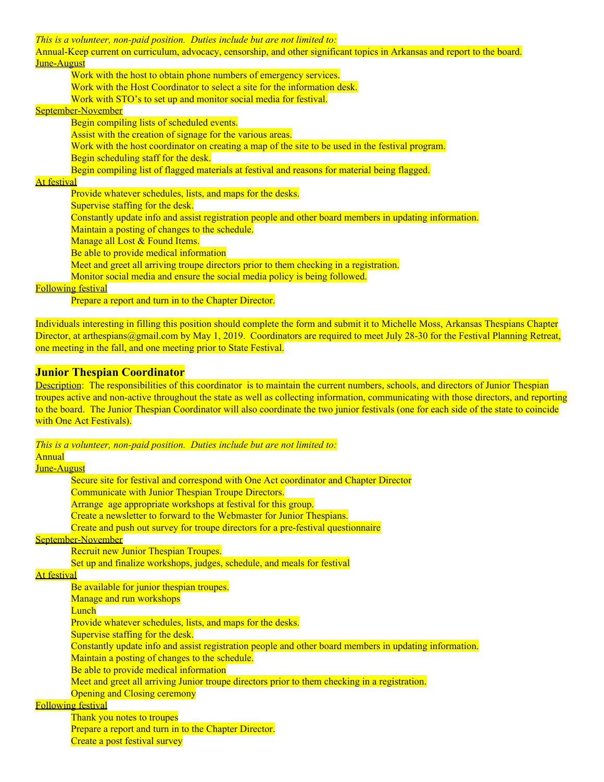*This is a volunteer, non-paid position. Duties include but are not limited to:*

Annual-Keep current on curriculum, advocacy, censorship, and other significant topics in Arkansas and report to the board. June-August

Work with the host to obtain phone numbers of emergency services. Work with the Host Coordinator to select a site for the information desk. Work with STO's to set up and monitor social media for festival.

#### September-November

Begin compiling lists of scheduled events.

Assist with the creation of signage for the various areas.

Work with the host coordinator on creating a map of the site to be used in the festival program.

Begin scheduling staff for the desk.

Begin compiling list of flagged materials at festival and reasons for material being flagged.

## At festival

Provide whatever schedules, lists, and maps for the desks.

Supervise staffing for the desk.

Constantly update info and assist registration people and other board members in updating information.

Maintain a posting of changes to the schedule.

Manage all Lost & Found Items.

Be able to provide medical information

Meet and greet all arriving troupe directors prior to them checking in a registration.

Monitor social media and ensure the social media policy is being followed.

Following festival

Prepare a report and turn in to the Chapter Director.

Individuals interesting in filling this position should complete the form and submit it to Michelle Moss, Arkansas Thespians Chapter Director, at arthespians@gmail.com by May 1, 2019. Coordinators are required to meet July 28-30 for the Festival Planning Retreat, one meeting in the fall, and one meeting prior to State Festival.

## **Junior Thespian Coordinator**

Description: The responsibilities of this coordinator is to maintain the current numbers, schools, and directors of Junior Thespian troupes active and non-active throughout the state as well as collecting information, communicating with those directors, and reporting to the board. The Junior Thespian Coordinator will also coordinate the two junior festivals (one for each side of the state to coincide with One Act Festivals).

*This is a volunteer, non-paid position. Duties include but are not limited to:*

## Annual

June-August Secure site for festival and correspond with One Act coordinator and Chapter Director Communicate with Junior Thespian Troupe Directors. Arrange age appropriate workshops at festival for this group. Create a newsletter to forward to the Webmaster for Junior Thespians. Create and push out survey for troupe directors for a pre-festival questionnaire September-November Recruit new Junior Thespian Troupes. Set up and finalize workshops, judges, schedule, and meals for festival At festival Be available for junior thespian troupes. Manage and run workshops **Lunch** Provide whatever schedules, lists, and maps for the desks. Supervise staffing for the desk. Constantly update info and assist registration people and other board members in updating information. Maintain a posting of changes to the schedule. Be able to provide medical information Meet and greet all arriving Junior troupe directors prior to them checking in a registration. Opening and Closing ceremony Following festival Thank you notes to troupes Prepare a report and turn in to the Chapter Director.

Create a post festival survey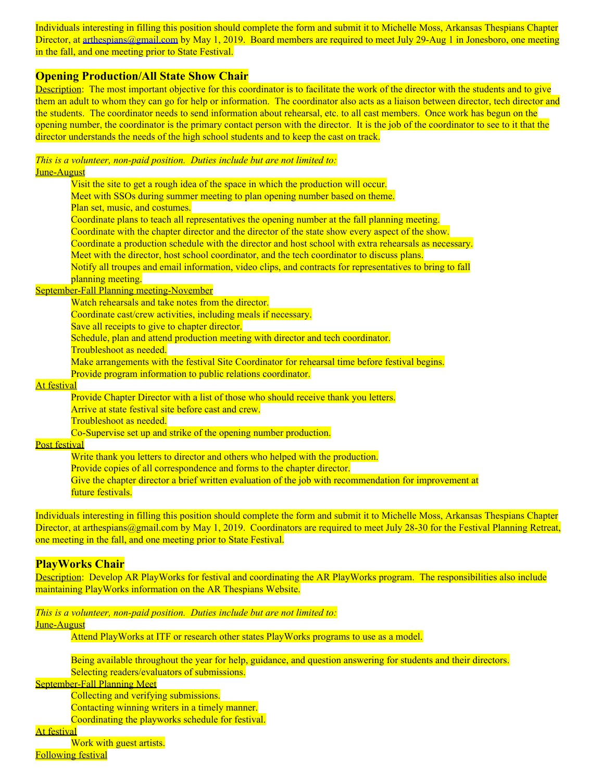Individuals interesting in filling this position should complete the form and submit it to Michelle Moss, Arkansas Thespians Chapter Director, at [arthespians@gmail.com](mailto:arthespians@gmail.com) by May 1, 2019. Board members are required to meet July 29-Aug 1 in Jonesboro, one meeting in the fall, and one meeting prior to State Festival.

#### **Opening Production/All State Show Chair**

Description: The most important objective for this coordinator is to facilitate the work of the director with the students and to give them an adult to whom they can go for help or information. The coordinator also acts as a liaison between director, tech director and the students. The coordinator needs to send information about rehearsal, etc. to all cast members. Once work has begun on the opening number, the coordinator is the primary contact person with the director. It is the job of the coordinator to see to it that the director understands the needs of the high school students and to keep the cast on track.

#### *This is a volunteer, non-paid position. Duties include but are not limited to:* June-August

Visit the site to get a rough idea of the space in which the production will occur. Meet with SSOs during summer meeting to plan opening number based on theme. Plan set, music, and costumes. Coordinate plans to teach all representatives the opening number at the fall planning meeting. Coordinate with the chapter director and the director of the state show every aspect of the show. Coordinate a production schedule with the director and host school with extra rehearsals as necessary. Meet with the director, host school coordinator, and the tech coordinator to discuss plans. Notify all troupes and email information, video clips, and contracts for representatives to bring to fall planning meeting.

#### September-Fall Planning meeting-November

Watch rehearsals and take notes from the director.

Coordinate cast/crew activities, including meals if necessary.

Save all receipts to give to chapter director.

Schedule, plan and attend production meeting with director and tech coordinator.

Troubleshoot as needed.

Make arrangements with the festival Site Coordinator for rehearsal time before festival begins.

Provide program information to public relations coordinator.

#### At festival

Provide Chapter Director with a list of those who should receive thank you letters.

Arrive at state festival site before cast and crew.

Troubleshoot as needed.

Co-Supervise set up and strike of the opening number production.

#### Post festival

Write thank you letters to director and others who helped with the production. Provide copies of all correspondence and forms to the chapter director. Give the chapter director a brief written evaluation of the job with recommendation for improvement at future festivals.

Individuals interesting in filling this position should complete the form and submit it to Michelle Moss, Arkansas Thespians Chapter Director, at arthespians@gmail.com by May 1, 2019. Coordinators are required to meet July 28-30 for the Festival Planning Retreat, one meeting in the fall, and one meeting prior to State Festival.

#### **PlayWorks Chair**

Description: Develop AR PlayWorks for festival and coordinating the AR PlayWorks program. The responsibilities also include maintaining PlayWorks information on the AR Thespians Website.

*This is a volunteer, non-paid position. Duties include but are not limited to:* June-August

Attend PlayWorks at ITF or research other states PlayWorks programs to use as a model.

Being available throughout the year for help, guidance, and question answering for students and their directors. Selecting readers/evaluators of submissions.

September-Fall Planning Meet

Collecting and verifying submissions. Contacting winning writers in a timely manner.

Coordinating the playworks schedule for festival.

At festival

Work with guest artists.

Following festival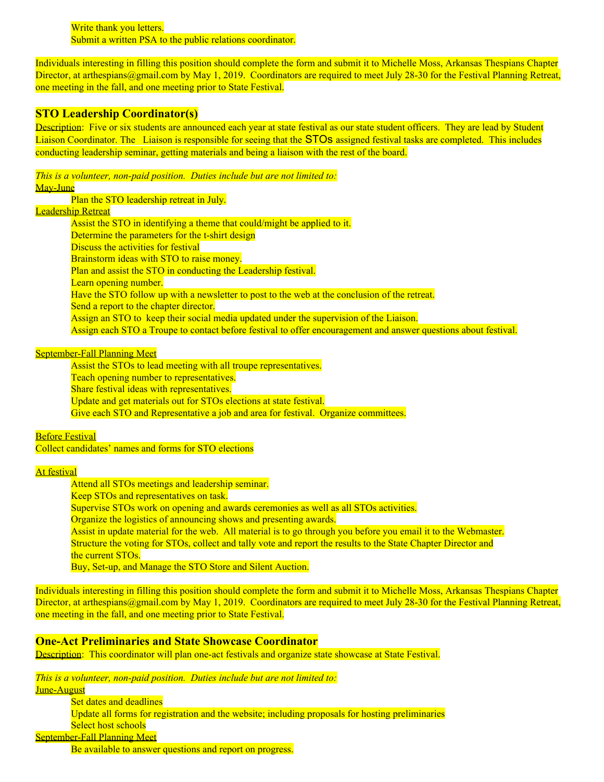Write thank you letters. Submit a written PSA to the public relations coordinator.

Individuals interesting in filling this position should complete the form and submit it to Michelle Moss, Arkansas Thespians Chapter Director, at arthespians@gmail.com by May 1, 2019. Coordinators are required to meet July 28-30 for the Festival Planning Retreat, one meeting in the fall, and one meeting prior to State Festival.

### **STO Leadership Coordinator(s)**

Description: Five or six students are announced each year at state festival as our state student officers. They are lead by Student Liaison Coordinator. The Liaison is responsible for seeing that the STOs assigned festival tasks are completed. This includes conducting leadership seminar, getting materials and being a liaison with the rest of the board.

*This is a volunteer, non-paid position. Duties include but are not limited to:* May-June

Plan the STO leadership retreat in July.

#### Leadership Retreat

Assist the STO in identifying a theme that could/might be applied to it. Determine the parameters for the t-shirt design Discuss the activities for festival Brainstorm ideas with STO to raise money. Plan and assist the STO in conducting the Leadership festival. Learn opening number. Have the STO follow up with a newsletter to post to the web at the conclusion of the retreat. Send a report to the chapter director. Assign an STO to keep their social media updated under the supervision of the Liaison. Assign each STO a Troupe to contact before festival to offer encouragement and answer questions about festival.

## September-Fall Planning Meet

Assist the STOs to lead meeting with all troupe representatives. Teach opening number to representatives. Share festival ideas with representatives. Update and get materials out for STOs elections at state festival. Give each STO and Representative a job and area for festival. Organize committees.

**Before Festival** 

Collect candidates' names and forms for STO elections

#### At festival

Attend all STOs meetings and leadership seminar.

Keep STOs and representatives on task.

Supervise STOs work on opening and awards ceremonies as well as all STOs activities.

Organize the logistics of announcing shows and presenting awards.

Assist in update material for the web. All material is to go through you before you email it to the Webmaster. Structure the voting for STOs, collect and tally vote and report the results to the State Chapter Director and the current STOs.

Buy, Set-up, and Manage the STO Store and Silent Auction.

Individuals interesting in filling this position should complete the form and submit it to Michelle Moss, Arkansas Thespians Chapter Director, at arthespians@gmail.com by May 1, 2019. Coordinators are required to meet July 28-30 for the Festival Planning Retreat, one meeting in the fall, and one meeting prior to State Festival.

#### **One-Act Preliminaries and State Showcase Coordinator**

Description: This coordinator will plan one-act festivals and organize state showcase at State Festival.

*This is a volunteer, non-paid position. Duties include but are not limited to:*

June-August

Set dates and deadlines Update all forms for registration and the website; including proposals for hosting preliminaries Select host schools September-Fall Planning Meet Be available to answer questions and report on progress.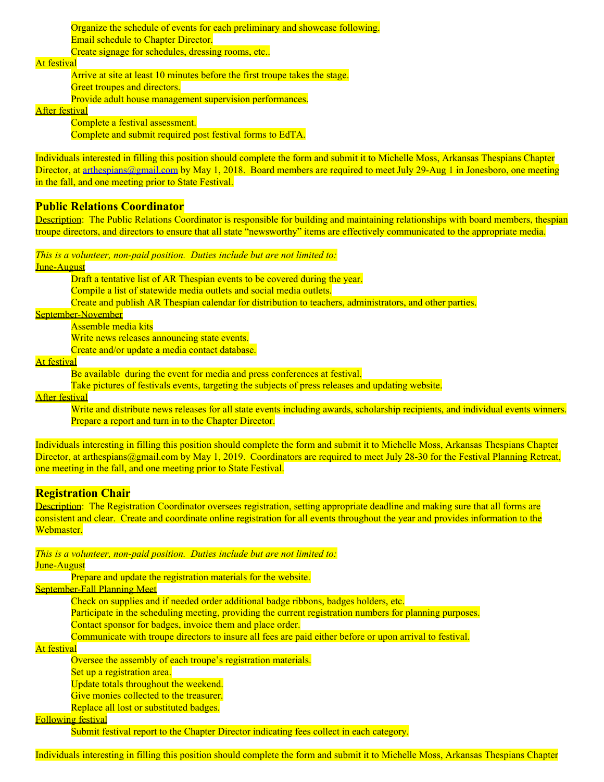Organize the schedule of events for each preliminary and showcase following. Email schedule to Chapter Director. Create signage for schedules, dressing rooms, etc...

#### At festival

Arrive at site at least 10 minutes before the first troupe takes the stage. Greet troupes and directors. Provide adult house management supervision performances.

After festival

Complete a festival assessment. Complete and submit required post festival forms to EdTA.

Individuals interested in filling this position should complete the form and submit it to Michelle Moss, Arkansas Thespians Chapter Director, at [arthespians@gmail.com](mailto:arthespians@gmail.com) by May 1, 2018. Board members are required to meet July 29-Aug 1 in Jonesboro, one meeting in the fall, and one meeting prior to State Festival.

#### **Public Relations Coordinator**

Description: The Public Relations Coordinator is responsible for building and maintaining relationships with board members, thespian troupe directors, and directors to ensure that all state "newsworthy" items are effectively communicated to the appropriate media.

*This is a volunteer, non-paid position. Duties include but are not limited to:*

#### June-August

Draft a tentative list of AR Thespian events to be covered during the year. Compile a list of statewide media outlets and social media outlets. Create and publish AR Thespian calendar for distribution to teachers, administrators, and other parties.

September-November

Assemble media kits Write news releases announcing state events. Create and/or update a media contact database.

At festival

Be available during the event for media and press conferences at festival.

Take pictures of festivals events, targeting the subjects of press releases and updating website.

After festival

Write and distribute news releases for all state events including awards, scholarship recipients, and individual events winners. Prepare a report and turn in to the Chapter Director.

Individuals interesting in filling this position should complete the form and submit it to Michelle Moss, Arkansas Thespians Chapter Director, at arthespians@gmail.com by May 1, 2019. Coordinators are required to meet July 28-30 for the Festival Planning Retreat, one meeting in the fall, and one meeting prior to State Festival.

#### **Registration Chair**

Description: The Registration Coordinator oversees registration, setting appropriate deadline and making sure that all forms are consistent and clear. Create and coordinate online registration for all events throughout the year and provides information to the Webmaster<sup>1</sup>

*This is a volunteer, non-paid position. Duties include but are not limited to:*

June-August

Prepare and update the registration materials for the website.

September-Fall Planning Meet

Check on supplies and if needed order additional badge ribbons, badges holders, etc.

Participate in the scheduling meeting, providing the current registration numbers for planning purposes.

Contact sponsor for badges, invoice them and place order.

Communicate with troupe directors to insure all fees are paid either before or upon arrival to festival.

#### At festival

Oversee the assembly of each troupe's registration materials.

Set up a registration area.

Update totals throughout the weekend.

Give monies collected to the treasurer.

Replace all lost or substituted badges.

### Following festival

Submit festival report to the Chapter Director indicating fees collect in each category.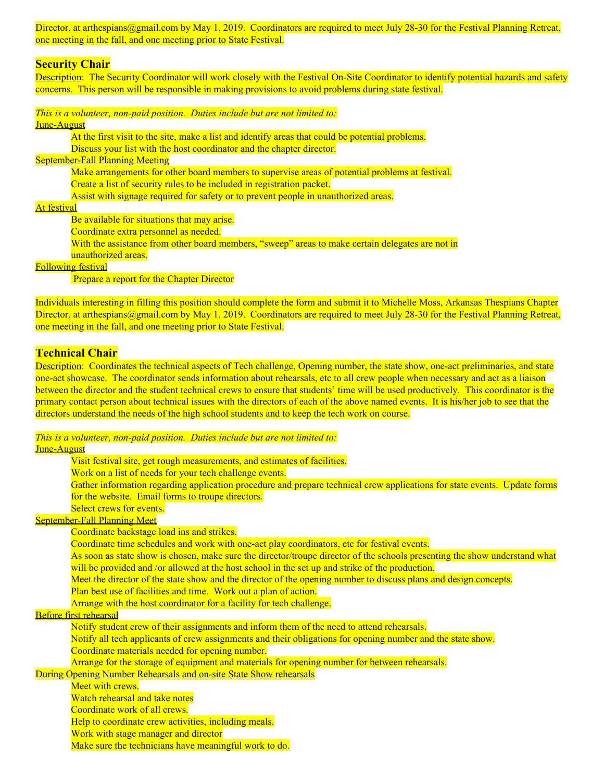Director, at arthespians@gmail.com by May 1, 2019. Coordinators are required to meet July 28-30 for the Festival Planning Retreat, one meeting in the fall, and one meeting prior to State Festival.

#### **Security Chair**

Description: The Security Coordinator will work closely with the Festival On-Site Coordinator to identify potential hazards and safety concerns. This person will be responsible in making provisions to avoid problems during state festival.

*This is a volunteer, non-paid position. Duties include but are not limited to:*

### June-August

At the first visit to the site, make a list and identify areas that could be potential problems. Discuss your list with the host coordinator and the chapter director. September-Fall Planning Meeting

Make arrangements for other board members to supervise areas of potential problems at festival. Create a list of security rules to be included in registration packet. Assist with signage required for safety or to prevent people in unauthorized areas.

At festival

Be available for situations that may arise.

Coordinate extra personnel as needed.

With the assistance from other board members, "sweep" areas to make certain delegates are not in

unauthorized areas.

## Following festival

Prepare a report for the Chapter Director

Individuals interesting in filling this position should complete the form and submit it to Michelle Moss, Arkansas Thespians Chapter Director, at arthespians@gmail.com by May 1, 2019. Coordinators are required to meet July 28-30 for the Festival Planning Retreat, one meeting in the fall, and one meeting prior to State Festival.

#### **Technical Chair**

Description: Coordinates the technical aspects of Tech challenge, Opening number, the state show, one-act preliminaries, and state one-act showcase. The coordinator sends information about rehearsals, etc to all crew people when necessary and act as a liaison between the director and the student technical crews to ensure that students' time will be used productively. This coordinator is the primary contact person about technical issues with the directors of each of the above named events. It is his/her job to see that the directors understand the needs of the high school students and to keep the tech work on course.

## *This is a volunteer, non-paid position. Duties include but are not limited to:*

June-August

Visit festival site, get rough measurements, and estimates of facilities. Work on a list of needs for your tech challenge events. Gather information regarding application procedure and prepare technical crew applications for state events. Update forms for the website. Email forms to troupe directors. Select crews for events. September-Fall Planning Meet Coordinate backstage load ins and strikes. Coordinate time schedules and work with one-act play coordinators, etc for festival events. As soon as state show is chosen, make sure the director/troupe director of the schools presenting the show understand what will be provided and /or allowed at the host school in the set up and strike of the production. Meet the director of the state show and the director of the opening number to discuss plans and design concepts. Plan best use of facilities and time. Work out a plan of action. Arrange with the host coordinator for a facility for tech challenge. Before first rehearsal Notify student crew of their assignments and inform them of the need to attend rehearsals. Notify all tech applicants of crew assignments and their obligations for opening number and the state show. Coordinate materials needed for opening number. Arrange for the storage of equipment and materials for opening number for between rehearsals. During Opening Number Rehearsals and on-site State Show rehearsals Meet with crews. Watch rehearsal and take notes Coordinate work of all crews. Help to coordinate crew activities, including meals. Work with stage manager and director Make sure the technicians have meaningful work to do.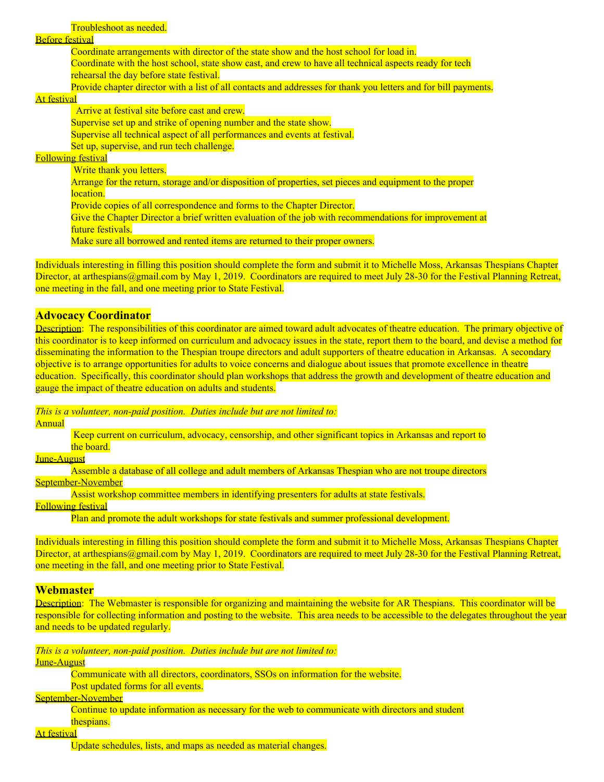#### Before festival

Coordinate arrangements with director of the state show and the host school for load in. Coordinate with the host school, state show cast, and crew to have all technical aspects ready for tech

rehearsal the day before state festival.

Provide chapter director with a list of all contacts and addresses for thank you letters and for bill payments.

#### At festival

Arrive at festival site before cast and crew. Supervise set up and strike of opening number and the state show. Supervise all technical aspect of all performances and events at festival. Set up, supervise, and run tech challenge. Following festival Write thank you letters. Arrange for the return, storage and/or disposition of properties, set pieces and equipment to the proper location. Provide copies of all correspondence and forms to the Chapter Director. Give the Chapter Director a brief written evaluation of the job with recommendations for improvement at future festivals. Make sure all borrowed and rented items are returned to their proper owners.

Individuals interesting in filling this position should complete the form and submit it to Michelle Moss, Arkansas Thespians Chapter Director, at arthespians@gmail.com by May 1, 2019. Coordinators are required to meet July 28-30 for the Festival Planning Retreat, one meeting in the fall, and one meeting prior to State Festival.

#### **Advocacy Coordinator**

Description: The responsibilities of this coordinator are aimed toward adult advocates of theatre education. The primary objective of this coordinator is to keep informed on curriculum and advocacy issues in the state, report them to the board, and devise a method for disseminating the information to the Thespian troupe directors and adult supporters of theatre education in Arkansas. A secondary objective is to arrange opportunities for adults to voice concerns and dialogue about issues that promote excellence in theatre education. Specifically, this coordinator should plan workshops that address the growth and development of theatre education and gauge the impact of theatre education on adults and students.

*This is a volunteer, non-paid position. Duties include but are not limited to:*

Annual

Keep current on curriculum, advocacy, censorship, and other significant topics in Arkansas and report to the board.

June-August

Assemble a database of all college and adult members of Arkansas Thespian who are not troupe directors September-November

Assist workshop committee members in identifying presenters for adults at state festivals.

#### Following festival

Plan and promote the adult workshops for state festivals and summer professional development.

Individuals interesting in filling this position should complete the form and submit it to Michelle Moss, Arkansas Thespians Chapter Director, at arthespians@gmail.com by May 1, 2019. Coordinators are required to meet July 28-30 for the Festival Planning Retreat, one meeting in the fall, and one meeting prior to State Festival.

#### **Webmaster**

Description: The Webmaster is responsible for organizing and maintaining the website for AR Thespians. This coordinator will be responsible for collecting information and posting to the website. This area needs to be accessible to the delegates throughout the year and needs to be updated regularly.

*This is a volunteer, non-paid position. Duties include but are not limited to:*

June-August

Communicate with all directors, coordinators, SSOs on information for the website.

Post updated forms for all events.

September-November

Continue to update information as necessary for the web to communicate with directors and student thespians.

At festival

Update schedules, lists, and maps as needed as material changes.